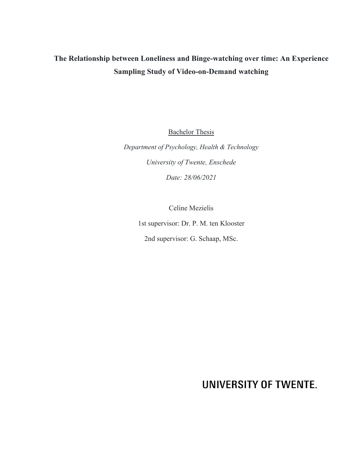# **The Relationship between Loneliness and Binge-watching over time: An Experience Sampling Study of Video-on-Demand watching**

**Bachelor Thesis** 

*Department of Psychology, Health & Technology University of Twente, Enschede Date: 28/06/2021*

Celine Mezielis

1st supervisor: Dr. P. M. ten Klooster 2nd supervisor: G. Schaap, MSc.

**UNIVERSITY OF TWENTE.**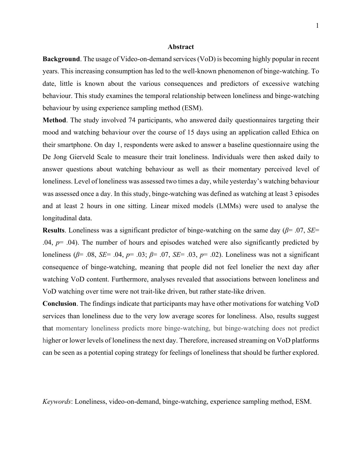#### **Abstract**

**Background**. The usage of Video-on-demand services (VoD) is becoming highly popular in recent years. This increasing consumption has led to the well-known phenomenon of binge-watching. To date, little is known about the various consequences and predictors of excessive watching behaviour. This study examines the temporal relationship between loneliness and binge-watching behaviour by using experience sampling method (ESM).

**Method**. The study involved 74 participants, who answered daily questionnaires targeting their mood and watching behaviour over the course of 15 days using an application called Ethica on their smartphone. On day 1, respondents were asked to answer a baseline questionnaire using the De Jong Gierveld Scale to measure their trait loneliness. Individuals were then asked daily to answer questions about watching behaviour as well as their momentary perceived level of loneliness. Level of loneliness was assessed two times a day, while yesterday's watching behaviour was assessed once a day. In this study, binge-watching was defined as watching at least 3 episodes and at least 2 hours in one sitting. Linear mixed models (LMMs) were used to analyse the longitudinal data.

**Results**. Loneliness was a significant predictor of binge-watching on the same day (*β*= .07, *SE*=  $.04, p= .04$ ). The number of hours and episodes watched were also significantly predicted by loneliness (*β*= .08, *SE*= .04, *p*= .03; *β*= .07, *SE*= .03, *p*= .02). Loneliness was not a significant consequence of binge-watching, meaning that people did not feel lonelier the next day after watching VoD content. Furthermore, analyses revealed that associations between loneliness and VoD watching over time were not trait-like driven, but rather state-like driven.

**Conclusion**. The findings indicate that participants may have other motivations for watching VoD services than loneliness due to the very low average scores for loneliness. Also, results suggest that momentary loneliness predicts more binge-watching, but binge-watching does not predict higher or lower levels of loneliness the next day. Therefore, increased streaming on VoD platforms can be seen as a potential coping strategy for feelings of loneliness that should be further explored.

*Keywords*: Loneliness, video-on-demand, binge-watching, experience sampling method, ESM.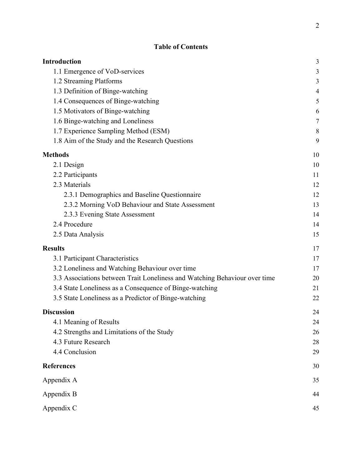# **Table of Contents**

| <b>Introduction</b>                                                        | 3                        |
|----------------------------------------------------------------------------|--------------------------|
| 1.1 Emergence of VoD-services                                              | 3                        |
| 1.2 Streaming Platforms                                                    | 3                        |
| 1.3 Definition of Binge-watching                                           | $\overline{\mathcal{L}}$ |
| 1.4 Consequences of Binge-watching                                         | 5                        |
| 1.5 Motivators of Binge-watching                                           | 6                        |
| 1.6 Binge-watching and Loneliness                                          | 7                        |
| 1.7 Experience Sampling Method (ESM)                                       | 8                        |
| 1.8 Aim of the Study and the Research Questions                            | 9                        |
| <b>Methods</b>                                                             | 10                       |
| 2.1 Design                                                                 | 10                       |
| 2.2 Participants                                                           | 11                       |
| 2.3 Materials                                                              | 12                       |
| 2.3.1 Demographics and Baseline Questionnaire                              | 12                       |
| 2.3.2 Morning VoD Behaviour and State Assessment                           | 13                       |
| 2.3.3 Evening State Assessment                                             | 14                       |
| 2.4 Procedure                                                              | 14                       |
| 2.5 Data Analysis                                                          | 15                       |
| <b>Results</b>                                                             | 17                       |
| 3.1 Participant Characteristics                                            | 17                       |
| 3.2 Loneliness and Watching Behaviour over time                            | 17                       |
| 3.3 Associations between Trait Loneliness and Watching Behaviour over time | 20                       |
| 3.4 State Loneliness as a Consequence of Binge-watching                    | 21                       |
| 3.5 State Loneliness as a Predictor of Binge-watching                      | 22                       |
| <b>Discussion</b>                                                          | 24                       |
| 4.1 Meaning of Results                                                     | 24                       |
| 4.2 Strengths and Limitations of the Study                                 | 26                       |
| 4.3 Future Research                                                        | 28                       |
| 4.4 Conclusion                                                             | 29                       |
| <b>References</b>                                                          | 30                       |
| Appendix A                                                                 | 35                       |
| Appendix B                                                                 | 44                       |
| Appendix C                                                                 | 45                       |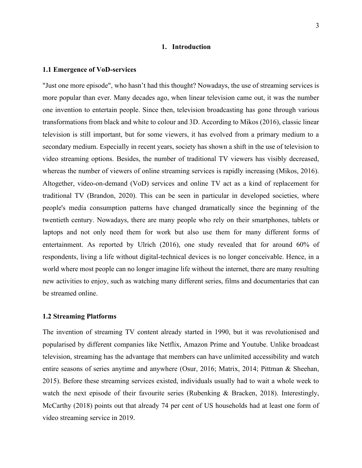#### **1. Introduction**

#### <span id="page-3-1"></span><span id="page-3-0"></span>**1.1 Emergence of VoD-services**

"Just one more episode", who hasn't had this thought? Nowadays, the use of streaming services is more popular than ever. Many decades ago, when linear television came out, it was the number one invention to entertain people. Since then, television broadcasting has gone through various transformations from black and white to colour and 3D. According to Mikos (2016), classic linear television is still important, but for some viewers, it has evolved from a primary medium to a secondary medium. Especially in recent years, society has shown a shift in the use of television to video streaming options. Besides, the number of traditional TV viewers has visibly decreased, whereas the number of viewers of online streaming services is rapidly increasing (Mikos, 2016). Altogether, video-on-demand (VoD) services and online TV act as a kind of replacement for traditional TV (Brandon, 2020). This can be seen in particular in developed societies, where people's media consumption patterns have changed dramatically since the beginning of the twentieth century. Nowadays, there are many people who rely on their smartphones, tablets or laptops and not only need them for work but also use them for many different forms of entertainment. As reported by Ulrich (2016), one study revealed that for around 60% of respondents, living a life without digital-technical devices is no longer conceivable. Hence, in a world where most people can no longer imagine life without the internet, there are many resulting new activities to enjoy, such as watching many different series, films and documentaries that can be streamed online.

### <span id="page-3-2"></span>**1.2 Streaming Platforms**

The invention of streaming TV content already started in 1990, but it was revolutionised and popularised by different companies like Netflix, Amazon Prime and Youtube. Unlike broadcast television, streaming has the advantage that members can have unlimited accessibility and watch entire seasons of series anytime and anywhere (Osur, 2016; Matrix, 2014; Pittman & Sheehan, 2015). Before these streaming services existed, individuals usually had to wait a whole week to watch the next episode of their favourite series (Rubenking & Bracken, 2018). Interestingly, McCarthy (2018) points out that already 74 per cent of US households had at least one form of video streaming service in 2019.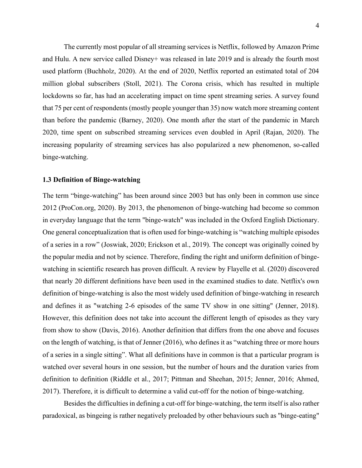The currently most popular of all streaming services is Netflix, followed by Amazon Prime and Hulu. A new service called Disney+ was released in late 2019 and is already the fourth most used platform (Buchholz, 2020). At the end of 2020, Netflix reported an estimated total of 204 million global subscribers (Stoll, 2021). The Corona crisis, which has resulted in multiple lockdowns so far, has had an accelerating impact on time spent streaming series. A survey found that 75 per cent of respondents (mostly people younger than 35) now watch more streaming content than before the pandemic (Barney, 2020). One month after the start of the pandemic in March 2020, time spent on subscribed streaming services even doubled in April (Rajan, 2020). The increasing popularity of streaming services has also popularized a new phenomenon, so-called binge-watching.

### <span id="page-4-0"></span>**1.3 Definition of Binge-watching**

The term "binge-watching" has been around since 2003 but has only been in common use since 2012 (ProCon.org, 2020). By 2013, the phenomenon of binge-watching had become so common in everyday language that the term "binge-watch" was included in the Oxford English Dictionary. One general conceptualization that is often used for binge-watching is "watching multiple episodes of a series in a row" (Joswiak, 2020; Erickson et al., 2019). The concept was originally coined by the popular media and not by science. Therefore, finding the right and uniform definition of bingewatching in scientific research has proven difficult. A review by Flayelle et al. (2020) discovered that nearly 20 different definitions have been used in the examined studies to date. Netflix's own definition of binge-watching is also the most widely used definition of binge-watching in research and defines it as "watching 2-6 episodes of the same TV show in one sitting" (Jenner, 2018). However, this definition does not take into account the different length of episodes as they vary from show to show (Davis, 2016). Another definition that differs from the one above and focuses on the length of watching, is that of Jenner (2016), who defines it as "watching three or more hours of a series in a single sitting". What all definitions have in common is that a particular program is watched over several hours in one session, but the number of hours and the duration varies from definition to definition (Riddle et al., 2017; Pittman and Sheehan, 2015; Jenner, 2016; Ahmed, 2017). Therefore, it is difficult to determine a valid cut-off for the notion of binge-watching.

Besides the difficulties in defining a cut-off for binge-watching, the term itself is also rather paradoxical, as bingeing is rather negatively preloaded by other behaviours such as "binge-eating"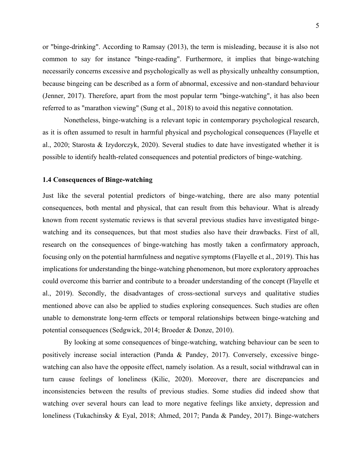or "binge-drinking". According to Ramsay (2013), the term is misleading, because it is also not common to say for instance "binge-reading". Furthermore, it implies that binge-watching necessarily concerns excessive and psychologically as well as physically unhealthy consumption, because bingeing can be described as a form of abnormal, excessive and non-standard behaviour (Jenner, 2017). Therefore, apart from the most popular term "binge-watching", it has also been referred to as "marathon viewing" (Sung et al., 2018) to avoid this negative connotation.

Nonetheless, binge-watching is a relevant topic in contemporary psychological research, as it is often assumed to result in harmful physical and psychological consequences (Flayelle et al., 2020; Starosta & Izydorczyk, 2020). Several studies to date have investigated whether it is possible to identify health-related consequences and potential predictors of binge-watching.

### <span id="page-5-0"></span>**1.4 Consequences of Binge-watching**

Just like the several potential predictors of binge-watching, there are also many potential consequences, both mental and physical, that can result from this behaviour. What is already known from recent systematic reviews is that several previous studies have investigated bingewatching and its consequences, but that most studies also have their drawbacks. First of all, research on the consequences of binge-watching has mostly taken a confirmatory approach, focusing only on the potential harmfulness and negative symptoms (Flayelle et al., 2019). This has implications for understanding the binge-watching phenomenon, but more exploratory approaches could overcome this barrier and contribute to a broader understanding of the concept (Flayelle et al., 2019). Secondly, the disadvantages of cross-sectional surveys and qualitative studies mentioned above can also be applied to studies exploring consequences. Such studies are often unable to demonstrate long-term effects or temporal relationships between binge-watching and potential consequences (Sedgwick, 2014; Broeder & Donze, 2010).

By looking at some consequences of binge-watching, watching behaviour can be seen to positively increase social interaction (Panda & Pandey, 2017). Conversely, excessive bingewatching can also have the opposite effect, namely isolation. As a result, social withdrawal can in turn cause feelings of loneliness (Kilic, 2020). Moreover, there are discrepancies and inconsistencies between the results of previous studies. Some studies did indeed show that watching over several hours can lead to more negative feelings like anxiety, depression and loneliness (Tukachinsky & Eyal, 2018; Ahmed, 2017; Panda & Pandey, 2017). Binge-watchers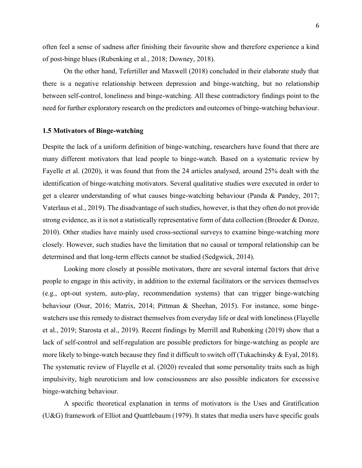often feel a sense of sadness after finishing their favourite show and therefore experience a kind of post-binge blues (Rubenking et al., 2018; Downey, 2018).

On the other hand, Tefertiller and Maxwell (2018) concluded in their elaborate study that there is a negative relationship between depression and binge-watching, but no relationship between self-control, loneliness and binge-watching. All these contradictory findings point to the need for further exploratory research on the predictors and outcomes of binge-watching behaviour.

#### <span id="page-6-0"></span>**1.5 Motivators of Binge-watching**

Despite the lack of a uniform definition of binge-watching, researchers have found that there are many different motivators that lead people to binge-watch. Based on a systematic review by Fayelle et al. (2020), it was found that from the 24 articles analysed, around 25% dealt with the identification of binge-watching motivators. Several qualitative studies were executed in order to get a clearer understanding of what causes binge-watching behaviour (Panda & Pandey, 2017; Vaterlaus et al., 2019). The disadvantage of such studies, however, is that they often do not provide strong evidence, as it is not a statistically representative form of data collection (Broeder & Donze, 2010). Other studies have mainly used cross-sectional surveys to examine binge-watching more closely. However, such studies have the limitation that no causal or temporal relationship can be determined and that long-term effects cannot be studied (Sedgwick, 2014).

Looking more closely at possible motivators, there are several internal factors that drive people to engage in this activity, in addition to the external facilitators or the services themselves (e.g., opt-out system, auto-play, recommendation systems) that can trigger binge-watching behaviour (Osur, 2016; Matrix, 2014; Pittman & Sheehan, 2015). For instance, some bingewatchers use this remedy to distract themselves from everyday life or deal with loneliness (Flayelle et al., 2019; Starosta et al., 2019). Recent findings by Merrill and Rubenking (2019) show that a lack of self-control and self-regulation are possible predictors for binge-watching as people are more likely to binge-watch because they find it difficult to switch off (Tukachinsky & Eyal, 2018). The systematic review of Flayelle et al. (2020) revealed that some personality traits such as high impulsivity, high neuroticism and low consciousness are also possible indicators for excessive binge-watching behaviour.

A specific theoretical explanation in terms of motivators is the Uses and Gratification (U&G) framework of Elliot and Quattlebaum (1979). It states that media users have specific goals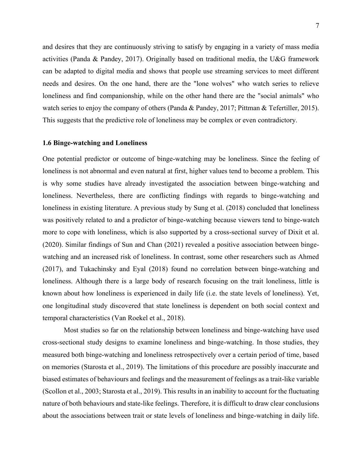and desires that they are continuously striving to satisfy by engaging in a variety of mass media activities (Panda & Pandey, 2017). Originally based on traditional media, the U&G framework can be adapted to digital media and shows that people use streaming services to meet different needs and desires. On the one hand, there are the "lone wolves" who watch series to relieve loneliness and find companionship, while on the other hand there are the "social animals" who watch series to enjoy the company of others (Panda & Pandey, 2017; Pittman & Tefertiller, 2015). This suggests that the predictive role of loneliness may be complex or even contradictory.

#### <span id="page-7-0"></span>**1.6 Binge-watching and Loneliness**

One potential predictor or outcome of binge-watching may be loneliness. Since the feeling of loneliness is not abnormal and even natural at first, higher values tend to become a problem. This is why some studies have already investigated the association between binge-watching and loneliness. Nevertheless, there are conflicting findings with regards to binge-watching and loneliness in existing literature. A previous study by Sung et al. (2018) concluded that loneliness was positively related to and a predictor of binge-watching because viewers tend to binge-watch more to cope with loneliness, which is also supported by a cross-sectional survey of Dixit et al. (2020). Similar findings of Sun and Chan (2021) revealed a positive association between bingewatching and an increased risk of loneliness. In contrast, some other researchers such as Ahmed (2017), and Tukachinsky and Eyal (2018) found no correlation between binge-watching and loneliness. Although there is a large body of research focusing on the trait loneliness, little is known about how loneliness is experienced in daily life (i.e. the state levels of loneliness). Yet, one longitudinal study discovered that state loneliness is dependent on both social context and temporal characteristics (Van Roekel et al., 2018).

Most studies so far on the relationship between loneliness and binge-watching have used cross-sectional study designs to examine loneliness and binge-watching. In those studies, they measured both binge-watching and loneliness retrospectively over a certain period of time, based on memories (Starosta et al., 2019). The limitations of this procedure are possibly inaccurate and biased estimates of behaviours and feelings and the measurement of feelings as a trait-like variable (Scollon et al., 2003; Starosta et al., 2019). This results in an inability to account for the fluctuating nature of both behaviours and state-like feelings. Therefore, it is difficult to draw clear conclusions about the associations between trait or state levels of loneliness and binge-watching in daily life.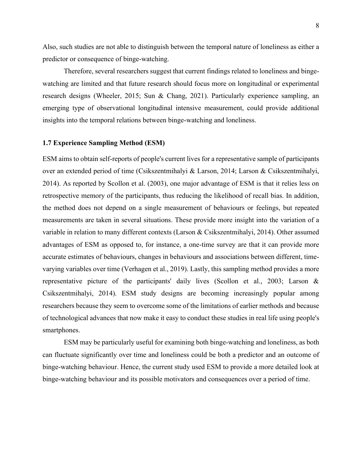Also, such studies are not able to distinguish between the temporal nature of loneliness as either a predictor or consequence of binge-watching.

Therefore, several researchers suggest that current findings related to loneliness and bingewatching are limited and that future research should focus more on longitudinal or experimental research designs (Wheeler, 2015; Sun & Chang, 2021). Particularly experience sampling, an emerging type of observational longitudinal intensive measurement, could provide additional insights into the temporal relations between binge-watching and loneliness.

#### <span id="page-8-0"></span>**1.7 Experience Sampling Method (ESM)**

ESM aims to obtain self-reports of people's current lives for a representative sample of participants over an extended period of time (Csikszentmihalyi & Larson, 2014; Larson & Csikszentmihalyi, 2014). As reported by Scollon et al. (2003), one major advantage of ESM is that it relies less on retrospective memory of the participants, thus reducing the likelihood of recall bias. In addition, the method does not depend on a single measurement of behaviours or feelings, but repeated measurements are taken in several situations. These provide more insight into the variation of a variable in relation to many different contexts (Larson & Csikszentmihalyi, 2014). Other assumed advantages of ESM as opposed to, for instance, a one-time survey are that it can provide more accurate estimates of behaviours, changes in behaviours and associations between different, timevarying variables over time (Verhagen et al., 2019). Lastly, this sampling method provides a more representative picture of the participants' daily lives (Scollon et al., 2003; Larson & Csikszentmihalyi, 2014). ESM study designs are becoming increasingly popular among researchers because they seem to overcome some of the limitations of earlier methods and because of technological advances that now make it easy to conduct these studies in real life using people's smartphones.

ESM may be particularly useful for examining both binge-watching and loneliness, as both can fluctuate significantly over time and loneliness could be both a predictor and an outcome of binge-watching behaviour. Hence, the current study used ESM to provide a more detailed look at binge-watching behaviour and its possible motivators and consequences over a period of time.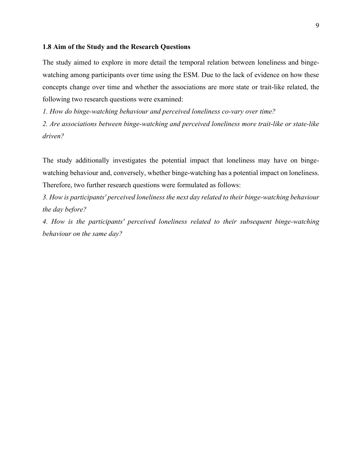#### <span id="page-9-0"></span>**1.8 Aim of the Study and the Research Questions**

The study aimed to explore in more detail the temporal relation between loneliness and bingewatching among participants over time using the ESM. Due to the lack of evidence on how these concepts change over time and whether the associations are more state or trait-like related, the following two research questions were examined:

*1. How do binge-watching behaviour and perceived loneliness co-vary over time?*

*2. Are associations between binge-watching and perceived loneliness more trait-like or state-like driven?*

The study additionally investigates the potential impact that loneliness may have on bingewatching behaviour and, conversely, whether binge-watching has a potential impact on loneliness. Therefore, two further research questions were formulated as follows:

*3. How is participants' perceived loneliness the next day related to their binge-watching behaviour the day before?*

*4. How is the participants' perceived loneliness related to their subsequent binge-watching behaviour on the same day?*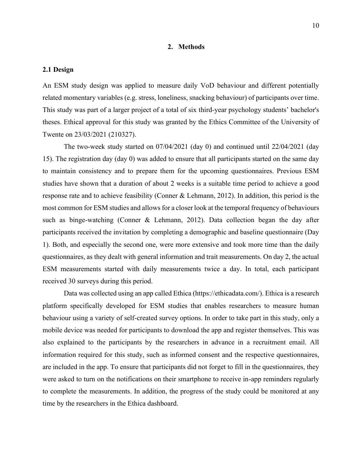### **2. Methods**

#### <span id="page-10-1"></span><span id="page-10-0"></span>**2.1 Design**

An ESM study design was applied to measure daily VoD behaviour and different potentially related momentary variables (e.g. stress, loneliness, snacking behaviour) of participants over time. This study was part of a larger project of a total of six third-year psychology students' bachelor's theses. Ethical approval for this study was granted by the Ethics Committee of the University of Twente on 23/03/2021 (210327).

The two-week study started on 07/04/2021 (day 0) and continued until 22/04/2021 (day 15). The registration day (day 0) was added to ensure that all participants started on the same day to maintain consistency and to prepare them for the upcoming questionnaires. Previous ESM studies have shown that a duration of about 2 weeks is a suitable time period to achieve a good response rate and to achieve feasibility (Conner & Lehmann, 2012). In addition, this period is the most common for ESM studies and allows for a closer look at the temporal frequency of behaviours such as binge-watching (Conner & Lehmann, 2012). Data collection began the day after participants received the invitation by completing a demographic and baseline questionnaire (Day 1). Both, and especially the second one, were more extensive and took more time than the daily questionnaires, as they dealt with general information and trait measurements. On day 2, the actual ESM measurements started with daily measurements twice a day. In total, each participant received 30 surveys during this period.

Data was collected using an app called Ethica (https://ethicadata.com/). Ethica is a research platform specifically developed for ESM studies that enables researchers to measure human behaviour using a variety of self-created survey options. In order to take part in this study, only a mobile device was needed for participants to download the app and register themselves. This was also explained to the participants by the researchers in advance in a recruitment email. All information required for this study, such as informed consent and the respective questionnaires, are included in the app. To ensure that participants did not forget to fill in the questionnaires, they were asked to turn on the notifications on their smartphone to receive in-app reminders regularly to complete the measurements. In addition, the progress of the study could be monitored at any time by the researchers in the Ethica dashboard.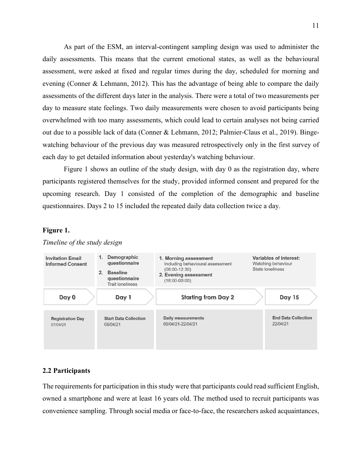As part of the ESM, an interval-contingent sampling design was used to administer the daily assessments. This means that the current emotional states, as well as the behavioural assessment, were asked at fixed and regular times during the day, scheduled for morning and evening (Conner & Lehmann, 2012). This has the advantage of being able to compare the daily assessments of the different days later in the analysis. There were a total of two measurements per day to measure state feelings. Two daily measurements were chosen to avoid participants being overwhelmed with too many assessments, which could lead to certain analyses not being carried out due to a possible lack of data (Conner & Lehmann, 2012; Palmier-Claus et al., 2019). Bingewatching behaviour of the previous day was measured retrospectively only in the first survey of each day to get detailed information about yesterday's watching behaviour.

Figure 1 shows an outline of the study design, with day 0 as the registration day, where participants registered themselves for the study, provided informed consent and prepared for the upcoming research. Day 1 consisted of the completion of the demographic and baseline questionnaires. Days 2 to 15 included the repeated daily data collection twice a day.

### **Figure 1.**



#### *Timeline of the study design*

### <span id="page-11-0"></span>**2.2 Participants**

The requirements for participation in this study were that participants could read sufficient English, owned a smartphone and were at least 16 years old. The method used to recruit participants was convenience sampling. Through social media or face-to-face, the researchers asked acquaintances,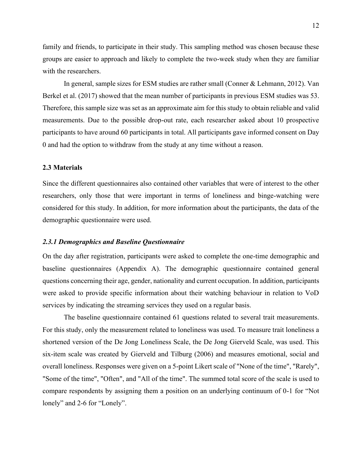family and friends, to participate in their study. This sampling method was chosen because these groups are easier to approach and likely to complete the two-week study when they are familiar with the researchers.

In general, sample sizes for ESM studies are rather small (Conner & Lehmann, 2012). Van Berkel et al. (2017) showed that the mean number of participants in previous ESM studies was 53. Therefore, this sample size was set as an approximate aim for this study to obtain reliable and valid measurements. Due to the possible drop-out rate, each researcher asked about 10 prospective participants to have around 60 participants in total. All participants gave informed consent on Day 0 and had the option to withdraw from the study at any time without a reason.

#### <span id="page-12-0"></span>**2.3 Materials**

Since the different questionnaires also contained other variables that were of interest to the other researchers, only those that were important in terms of loneliness and binge-watching were considered for this study. In addition, for more information about the participants, the data of the demographic questionnaire were used.

#### <span id="page-12-1"></span>*2.3.1 Demographics and Baseline Questionnaire*

On the day after registration, participants were asked to complete the one-time demographic and baseline questionnaires (Appendix A). The demographic questionnaire contained general questions concerning their age, gender, nationality and current occupation. In addition, participants were asked to provide specific information about their watching behaviour in relation to VoD services by indicating the streaming services they used on a regular basis.

The baseline questionnaire contained 61 questions related to several trait measurements. For this study, only the measurement related to loneliness was used. To measure trait loneliness a shortened version of the De Jong Loneliness Scale, the De Jong Gierveld Scale, was used. This six-item scale was created by Gierveld and Tilburg (2006) and measures emotional, social and overall loneliness. Responses were given on a 5-point Likert scale of "None of the time", "Rarely", "Some of the time", "Often", and "All of the time". The summed total score of the scale is used to compare respondents by assigning them a position on an underlying continuum of 0-1 for "Not lonely" and 2-6 for "Lonely".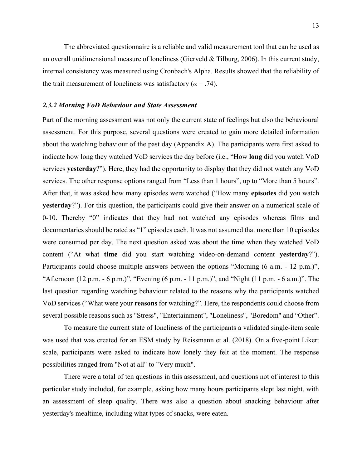The abbreviated questionnaire is a reliable and valid measurement tool that can be used as an overall unidimensional measure of loneliness (Gierveld & Tilburg, 2006). In this current study, internal consistency was measured using Cronbach's Alpha. Results showed that the reliability of the trait measurement of loneliness was satisfactory ( $\alpha$  = .74).

#### <span id="page-13-0"></span>*2.3.2 Morning VoD Behaviour and State Assessment*

Part of the morning assessment was not only the current state of feelings but also the behavioural assessment. For this purpose, several questions were created to gain more detailed information about the watching behaviour of the past day (Appendix A). The participants were first asked to indicate how long they watched VoD services the day before (i.e., "How **long** did you watch VoD services **yesterday**?"). Here, they had the opportunity to display that they did not watch any VoD services. The other response options ranged from "Less than 1 hours", up to "More than 5 hours". After that, it was asked how many episodes were watched ("How many **episodes** did you watch **yesterday**?"). For this question, the participants could give their answer on a numerical scale of 0-10. Thereby "0" indicates that they had not watched any episodes whereas films and documentaries should be rated as "1" episodes each. It was not assumed that more than 10 episodes were consumed per day. The next question asked was about the time when they watched VoD content ("At what **time** did you start watching video-on-demand content **yesterday**?"). Participants could choose multiple answers between the options "Morning (6 a.m. - 12 p.m.)", "Afternoon (12 p.m. - 6 p.m.)", "Evening (6 p.m. - 11 p.m.)", and "Night (11 p.m. - 6 a.m.)". The last question regarding watching behaviour related to the reasons why the participants watched VoD services ("What were your **reasons** for watching?". Here, the respondents could choose from several possible reasons such as "Stress", "Entertainment", "Loneliness", "Boredom" and "Other".

To measure the current state of loneliness of the participants a validated single-item scale was used that was created for an ESM study by Reissmann et al. (2018). On a five-point Likert scale, participants were asked to indicate how lonely they felt at the moment. The response possibilities ranged from "Not at all" to "Very much".

There were a total of ten questions in this assessment, and questions not of interest to this particular study included, for example, asking how many hours participants slept last night, with an assessment of sleep quality. There was also a question about snacking behaviour after yesterday's mealtime, including what types of snacks, were eaten.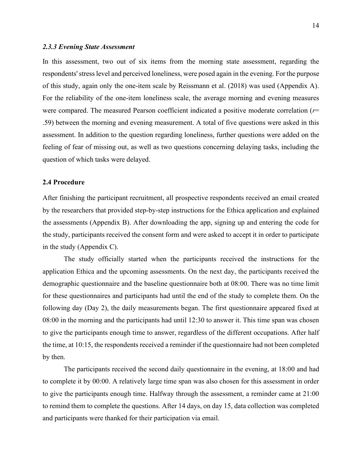#### <span id="page-14-0"></span>*2.3.3 Evening State Assessment*

In this assessment, two out of six items from the morning state assessment, regarding the respondents' stress level and perceived loneliness, were posed again in the evening. For the purpose of this study, again only the one-item scale by Reissmann et al. (2018) was used (Appendix A). For the reliability of the one-item loneliness scale, the average morning and evening measures were compared. The measured Pearson coefficient indicated a positive moderate correlation (*r*= .59) between the morning and evening measurement. A total of five questions were asked in this assessment. In addition to the question regarding loneliness, further questions were added on the feeling of fear of missing out, as well as two questions concerning delaying tasks, including the question of which tasks were delayed.

### <span id="page-14-1"></span>**2.4 Procedure**

After finishing the participant recruitment, all prospective respondents received an email created by the researchers that provided step-by-step instructions for the Ethica application and explained the assessments (Appendix B). After downloading the app, signing up and entering the code for the study, participants received the consent form and were asked to accept it in order to participate in the study (Appendix C).

The study officially started when the participants received the instructions for the application Ethica and the upcoming assessments. On the next day, the participants received the demographic questionnaire and the baseline questionnaire both at 08:00. There was no time limit for these questionnaires and participants had until the end of the study to complete them. On the following day (Day 2), the daily measurements began. The first questionnaire appeared fixed at 08:00 in the morning and the participants had until 12:30 to answer it. This time span was chosen to give the participants enough time to answer, regardless of the different occupations. After half the time, at 10:15, the respondents received a reminder if the questionnaire had not been completed by then.

The participants received the second daily questionnaire in the evening, at 18:00 and had to complete it by 00:00. A relatively large time span was also chosen for this assessment in order to give the participants enough time. Halfway through the assessment, a reminder came at 21:00 to remind them to complete the questions. After 14 days, on day 15, data collection was completed and participants were thanked for their participation via email.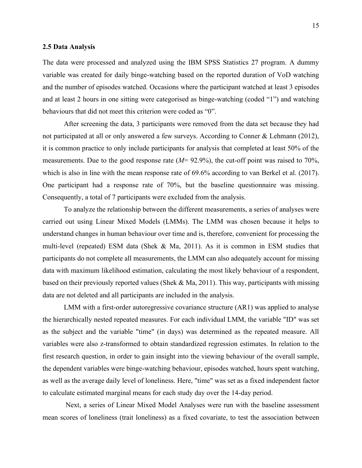#### <span id="page-15-0"></span>**2.5 Data Analysis**

The data were processed and analyzed using the IBM SPSS Statistics 27 program. A dummy variable was created for daily binge-watching based on the reported duration of VoD watching and the number of episodes watched. Occasions where the participant watched at least 3 episodes and at least 2 hours in one sitting were categorised as binge-watching (coded "1") and watching behaviours that did not meet this criterion were coded as "0".

After screening the data, 3 participants were removed from the data set because they had not participated at all or only answered a few surveys. According to Conner & Lehmann (2012), it is common practice to only include participants for analysis that completed at least 50% of the measurements. Due to the good response rate (*M*= 92.9%), the cut-off point was raised to 70%, which is also in line with the mean response rate of 69.6% according to van Berkel et al. (2017). One participant had a response rate of 70%, but the baseline questionnaire was missing. Consequently, a total of 7 participants were excluded from the analysis.

To analyze the relationship between the different measurements, a series of analyses were carried out using Linear Mixed Models (LMMs). The LMM was chosen because it helps to understand changes in human behaviour over time and is, therefore, convenient for processing the multi-level (repeated) ESM data (Shek & Ma, 2011). As it is common in ESM studies that participants do not complete all measurements, the LMM can also adequately account for missing data with maximum likelihood estimation, calculating the most likely behaviour of a respondent, based on their previously reported values (Shek & Ma, 2011). This way, participants with missing data are not deleted and all participants are included in the analysis.

LMM with a first-order autoregressive covariance structure (AR1) was applied to analyse the hierarchically nested repeated measures. For each individual LMM, the variable "ID" was set as the subject and the variable "time" (in days) was determined as the repeated measure. All variables were also z-transformed to obtain standardized regression estimates. In relation to the first research question, in order to gain insight into the viewing behaviour of the overall sample, the dependent variables were binge-watching behaviour, episodes watched, hours spent watching, as well as the average daily level of loneliness. Here, "time" was set as a fixed independent factor to calculate estimated marginal means for each study day over the 14-day period.

Next, a series of Linear Mixed Model Analyses were run with the baseline assessment mean scores of loneliness (trait loneliness) as a fixed covariate, to test the association between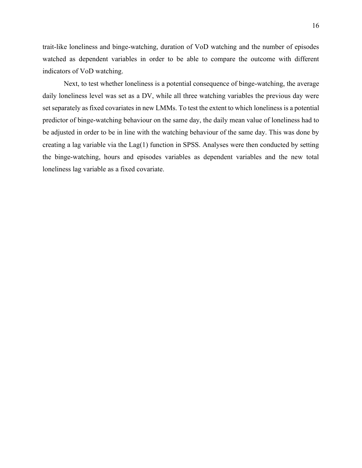trait-like loneliness and binge-watching, duration of VoD watching and the number of episodes watched as dependent variables in order to be able to compare the outcome with different indicators of VoD watching.

Next, to test whether loneliness is a potential consequence of binge-watching, the average daily loneliness level was set as a DV, while all three watching variables the previous day were set separately as fixed covariates in new LMMs. To test the extent to which loneliness is a potential predictor of binge-watching behaviour on the same day, the daily mean value of loneliness had to be adjusted in order to be in line with the watching behaviour of the same day. This was done by creating a lag variable via the Lag(1) function in SPSS. Analyses were then conducted by setting the binge-watching, hours and episodes variables as dependent variables and the new total loneliness lag variable as a fixed covariate.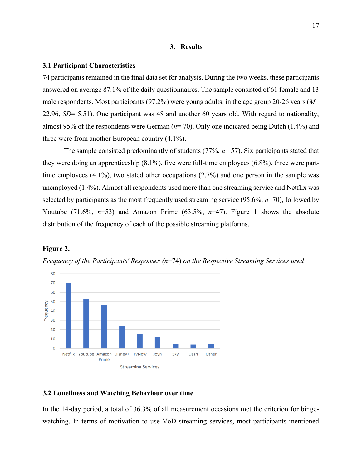#### **3. Results**

#### <span id="page-17-1"></span><span id="page-17-0"></span>**3.1 Participant Characteristics**

74 participants remained in the final data set for analysis. During the two weeks, these participants answered on average 87.1% of the daily questionnaires. The sample consisted of 61 female and 13 male respondents. Most participants (97.2%) were young adults, in the age group 20-26 years (*M*= 22.96, *SD*= 5.51). One participant was 48 and another 60 years old. With regard to nationality, almost 95% of the respondents were German (*n*= 70). Only one indicated being Dutch (1.4%) and three were from another European country (4.1%).

The sample consisted predominantly of students (77%, *n*= 57). Six participants stated that they were doing an apprenticeship (8.1%), five were full-time employees (6.8%), three were parttime employees (4.1%), two stated other occupations (2.7%) and one person in the sample was unemployed (1.4%). Almost all respondents used more than one streaming service and Netflix was selected by participants as the most frequently used streaming service (95.6%, *n*=70), followed by Youtube (71.6%, *n*=53) and Amazon Prime (63.5%, *n*=47). Figure 1 shows the absolute distribution of the frequency of each of the possible streaming platforms.

#### **Figure 2.**





#### <span id="page-17-2"></span>**3.2 Loneliness and Watching Behaviour over time**

In the 14-day period, a total of 36.3% of all measurement occasions met the criterion for bingewatching. In terms of motivation to use VoD streaming services, most participants mentioned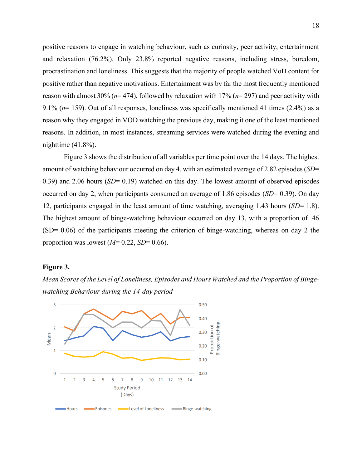positive reasons to engage in watching behaviour, such as curiosity, peer activity, entertainment and relaxation (76.2%). Only 23.8% reported negative reasons, including stress, boredom, procrastination and loneliness. This suggests that the majority of people watched VoD content for positive rather than negative motivations. Entertainment was by far the most frequently mentioned reason with almost 30% (*n*= 474), followed by relaxation with 17% (*n*= 297) and peer activity with 9.1% (*n*= 159). Out of all responses, loneliness was specifically mentioned 41 times (2.4%) as a reason why they engaged in VOD watching the previous day, making it one of the least mentioned reasons. In addition, in most instances, streaming services were watched during the evening and nighttime (41.8%).

Figure 3 shows the distribution of all variables per time point over the 14 days. The highest amount of watching behaviour occurred on day 4, with an estimated average of 2.82 episodes (*SD*= 0.39) and 2.06 hours (*SD*= 0.19) watched on this day. The lowest amount of observed episodes occurred on day 2, when participants consumed an average of 1.86 episodes (*SD*= 0.39). On day 12, participants engaged in the least amount of time watching, averaging 1.43 hours (*SD*= 1.8). The highest amount of binge-watching behaviour occurred on day 13, with a proportion of .46  $(SD= 0.06)$  of the participants meeting the criterion of binge-watching, whereas on day 2 the proportion was lowest  $(M= 0.22, SD= 0.66)$ .

#### **Figure 3.**

*Mean Scores of the Level of Loneliness, Episodes and Hours Watched and the Proportion of Bingewatching Behaviour during the 14-day period*

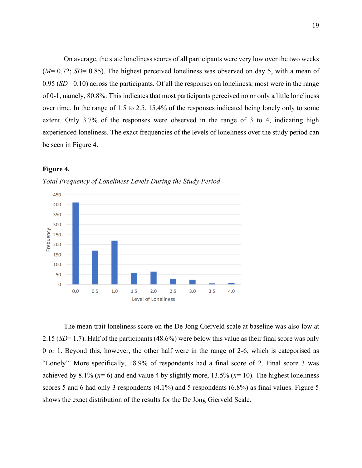On average, the state loneliness scores of all participants were very low over the two weeks (*M*= 0.72; *SD*= 0.85). The highest perceived loneliness was observed on day 5, with a mean of 0.95 (*SD*= 0.10) across the participants. Of all the responses on loneliness, most were in the range of 0-1, namely, 80.8%. This indicates that most participants perceived no or only a little loneliness over time. In the range of 1.5 to 2.5, 15.4% of the responses indicated being lonely only to some extent. Only 3.7% of the responses were observed in the range of 3 to 4, indicating high experienced loneliness. The exact frequencies of the levels of loneliness over the study period can be seen in Figure 4.

## **Figure 4.**





The mean trait loneliness score on the De Jong Gierveld scale at baseline was also low at 2.15 (*SD*= 1.7). Half of the participants (48.6%) were below this value as their final score was only 0 or 1. Beyond this, however, the other half were in the range of 2-6, which is categorised as "Lonely". More specifically, 18.9% of respondents had a final score of 2. Final score 3 was achieved by 8.1% (*n*= 6) and end value 4 by slightly more, 13.5% (*n*= 10). The highest loneliness scores 5 and 6 had only 3 respondents (4.1%) and 5 respondents (6.8%) as final values. Figure 5 shows the exact distribution of the results for the De Jong Gierveld Scale.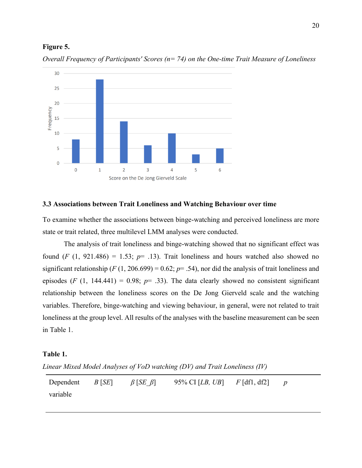#### **Figure 5.**



*Overall Frequency of Participants' Scores (n= 74) on the One-time Trait Measure of Loneliness* 

#### <span id="page-20-0"></span>**3.3 Associations between Trait Loneliness and Watching Behaviour over time**

To examine whether the associations between binge-watching and perceived loneliness are more state or trait related, three multilevel LMM analyses were conducted.

The analysis of trait loneliness and binge-watching showed that no significant effect was found  $(F (1, 921.486) = 1.53; p = .13)$ . Trait loneliness and hours watched also showed no significant relationship ( $F(1, 206.699) = 0.62$ ;  $p = .54$ ), nor did the analysis of trait loneliness and episodes (*F* (1, 144.441) = 0.98;  $p=$  .33). The data clearly showed no consistent significant relationship between the loneliness scores on the De Jong Gierveld scale and the watching variables. Therefore, binge-watching and viewing behaviour, in general, were not related to trait loneliness at the group level. All results of the analyses with the baseline measurement can be seen in Table 1.

### **Table 1.**

*Linear Mixed Model Analyses of VoD watching (DV) and Trait Loneliness (IV)* 

| Dependent $B[SE]$ $\beta [SE \beta]$ |  | 95% CI [ <i>LB</i> , <i>UB</i> ] $F$ [df1, df2] $p$ |  |
|--------------------------------------|--|-----------------------------------------------------|--|
| variable                             |  |                                                     |  |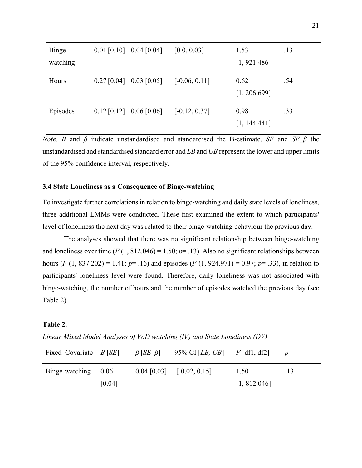| Binge-   | $0.01$ [0.10] 0.04 [0.04] |                           | [0.0, 0.03]     | 1.53                 | .13 |
|----------|---------------------------|---------------------------|-----------------|----------------------|-----|
| watching |                           |                           |                 | [1, 921.486]         |     |
| Hours    | $0.27$ [0.04] 0.03 [0.05] |                           | $[-0.06, 0.11]$ | 0.62<br>[1, 206.699] | .54 |
| Episodes |                           | $0.12$ [0.12] 0.06 [0.06] | $[-0.12, 0.37]$ | 0.98<br>[1, 144.441] | .33 |

*Note. B* and  $\beta$  indicate unstandardised and standardised the B-estimate, *SE* and *SE*  $\beta$  the unstandardised and standardised standard error and *LB* and *UB* represent the lower and upper limits of the 95% confidence interval, respectively.

### <span id="page-21-0"></span>**3.4 State Loneliness as a Consequence of Binge-watching**

To investigate further correlations in relation to binge-watching and daily state levels of loneliness, three additional LMMs were conducted. These first examined the extent to which participants' level of loneliness the next day was related to their binge-watching behaviour the previous day.

The analyses showed that there was no significant relationship between binge-watching and loneliness over time  $(F(1, 812.046) = 1.50; p = .13)$ . Also no significant relationships between hours  $(F (1, 837.202) = 1.41; p = .16)$  and episodes  $(F (1, 924.971) = 0.97; p = .33)$ , in relation to participants' loneliness level were found. Therefore, daily loneliness was not associated with binge-watching, the number of hours and the number of episodes watched the previous day (see Table 2).

### **Table 2.**

| Linear Mixed Model Analyses of VoD watching (IV) and State Loneliness (DV) |  |  |  |  |  |
|----------------------------------------------------------------------------|--|--|--|--|--|
|----------------------------------------------------------------------------|--|--|--|--|--|

| Fixed Covariate $B[SE]$ |        | $\beta$ [SE $\beta$ ] | 95% CI [ <i>LB</i> , <i>UB</i> ] $F$ [df1, df2] |              |     |
|-------------------------|--------|-----------------------|-------------------------------------------------|--------------|-----|
| Binge-watching 0.06     |        |                       | $[0.04 \, [0.03] \quad [-0.02, 0.15]$           | 1.50         | .13 |
|                         | [0.04] |                       |                                                 | [1, 812.046] |     |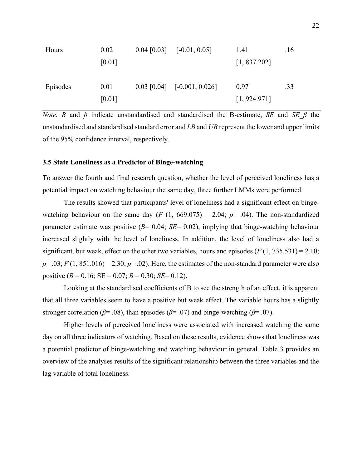| Hours    | 0.02   | $[0.04 \, [0.03] \quad [-0.01, 0.05]$ | 1.41         | .16 |
|----------|--------|---------------------------------------|--------------|-----|
|          | [0.01] |                                       | [1, 837.202] |     |
|          |        |                                       |              |     |
| Episodes | 0.01   | $0.03$ [0.04] [-0.001, 0.026]         | 0.97         | .33 |
|          | [0.01] |                                       | [1, 924.971] |     |

*Note. B* and  $\beta$  indicate unstandardised and standardised the B-estimate, *SE* and *SE*  $\beta$  the unstandardised and standardised standard error and *LB* and *UB* represent the lower and upper limits of the 95% confidence interval, respectively.

#### <span id="page-22-0"></span>**3.5 State Loneliness as a Predictor of Binge-watching**

To answer the fourth and final research question, whether the level of perceived loneliness has a potential impact on watching behaviour the same day, three further LMMs were performed.

The results showed that participants' level of loneliness had a significant effect on bingewatching behaviour on the same day  $(F (1, 669.075) = 2.04; p = .04)$ . The non-standardized parameter estimate was positive (*B*= 0.04; *SE*= 0.02), implying that binge-watching behaviour increased slightly with the level of loneliness. In addition, the level of loneliness also had a significant, but weak, effect on the other two variables, hours and episodes  $(F(1, 735.531) = 2.10;$  $p = .03$ ;  $F(1, 851.016) = 2.30$ ;  $p = .02$ ). Here, the estimates of the non-standard parameter were also positive  $(B = 0.16; SE = 0.07; B = 0.30; SE = 0.12)$ .

Looking at the standardised coefficients of B to see the strength of an effect, it is apparent that all three variables seem to have a positive but weak effect. The variable hours has a slightly stronger correlation ( $\beta$ = .08), than episodes ( $\beta$ = .07) and binge-watching ( $\beta$ = .07).

Higher levels of perceived loneliness were associated with increased watching the same day on all three indicators of watching. Based on these results, evidence shows that loneliness was a potential predictor of binge-watching and watching behaviour in general. Table 3 provides an overview of the analyses results of the significant relationship between the three variables and the lag variable of total loneliness.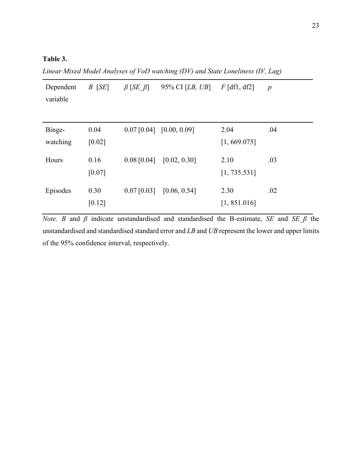## **Table 3.**

*Linear Mixed Model Analyses of VoD watching (DV) and State Loneliness (IV, Lag)* 

| Dependent<br>variable | $B$ [SE]       | $\beta$ [SE $\beta$ ] | 95% CI $[LB, UB]$          | $F$ [df1, df2]       | $\boldsymbol{p}$ |
|-----------------------|----------------|-----------------------|----------------------------|----------------------|------------------|
|                       |                |                       |                            |                      |                  |
| Binge-<br>watching    | 0.04<br>[0.02] |                       | $0.07$ [0.04] [0.00, 0.09] | 2.04<br>[1, 669.075] | .04              |
| Hours                 | 0.16<br>[0.07] | $0.08$ [0.04]         | [0.02, 0.30]               | 2.10<br>[1, 735.531] | .03              |
| Episodes              | 0.30<br>[0.12] | $0.07$ [0.03]         | [0.06, 0.54]               | 2.30<br>[1, 851.016] | .02              |

*Note. B* and *β* indicate unstandardised and standardised the B-estimate, *SE* and *SE\_β* the unstandardised and standardised standard error and *LB* and *UB* represent the lower and upper limits of the 95% confidence interval, respectively.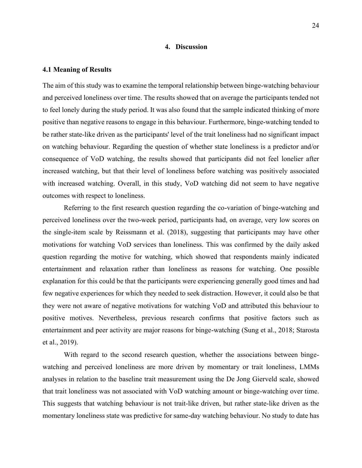#### **4. Discussion**

#### <span id="page-24-1"></span><span id="page-24-0"></span>**4.1 Meaning of Results**

The aim of this study was to examine the temporal relationship between binge-watching behaviour and perceived loneliness over time. The results showed that on average the participants tended not to feel lonely during the study period. It was also found that the sample indicated thinking of more positive than negative reasons to engage in this behaviour. Furthermore, binge-watching tended to be rather state-like driven as the participants' level of the trait loneliness had no significant impact on watching behaviour. Regarding the question of whether state loneliness is a predictor and/or consequence of VoD watching, the results showed that participants did not feel lonelier after increased watching, but that their level of loneliness before watching was positively associated with increased watching. Overall, in this study, VoD watching did not seem to have negative outcomes with respect to loneliness.

Referring to the first research question regarding the co-variation of binge-watching and perceived loneliness over the two-week period, participants had, on average, very low scores on the single-item scale by Reissmann et al. (2018), suggesting that participants may have other motivations for watching VoD services than loneliness. This was confirmed by the daily asked question regarding the motive for watching, which showed that respondents mainly indicated entertainment and relaxation rather than loneliness as reasons for watching. One possible explanation for this could be that the participants were experiencing generally good times and had few negative experiences for which they needed to seek distraction. However, it could also be that they were not aware of negative motivations for watching VoD and attributed this behaviour to positive motives. Nevertheless, previous research confirms that positive factors such as entertainment and peer activity are major reasons for binge-watching (Sung et al., 2018; Starosta et al., 2019).

With regard to the second research question, whether the associations between bingewatching and perceived loneliness are more driven by momentary or trait loneliness, LMMs analyses in relation to the baseline trait measurement using the De Jong Gierveld scale, showed that trait loneliness was not associated with VoD watching amount or binge-watching over time. This suggests that watching behaviour is not trait-like driven, but rather state-like driven as the momentary loneliness state was predictive for same-day watching behaviour. No study to date has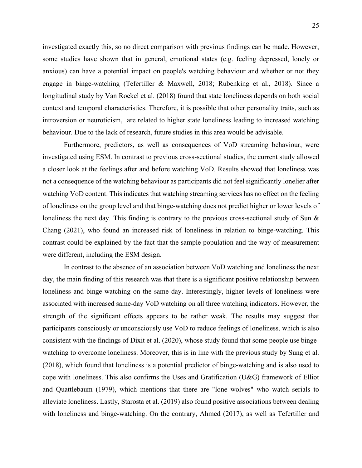investigated exactly this, so no direct comparison with previous findings can be made. However, some studies have shown that in general, emotional states (e.g. feeling depressed, lonely or anxious) can have a potential impact on people's watching behaviour and whether or not they engage in binge-watching (Tefertiller & Maxwell, 2018; Rubenking et al., 2018). Since a longitudinal study by Van Roekel et al. (2018) found that state loneliness depends on both social context and temporal characteristics. Therefore, it is possible that other personality traits, such as introversion or neuroticism, are related to higher state loneliness leading to increased watching behaviour. Due to the lack of research, future studies in this area would be advisable.

Furthermore, predictors, as well as consequences of VoD streaming behaviour, were investigated using ESM. In contrast to previous cross-sectional studies, the current study allowed a closer look at the feelings after and before watching VoD. Results showed that loneliness was not a consequence of the watching behaviour as participants did not feel significantly lonelier after watching VoD content. This indicates that watching streaming services has no effect on the feeling of loneliness on the group level and that binge-watching does not predict higher or lower levels of loneliness the next day. This finding is contrary to the previous cross-sectional study of Sun & Chang (2021), who found an increased risk of loneliness in relation to binge-watching. This contrast could be explained by the fact that the sample population and the way of measurement were different, including the ESM design.

In contrast to the absence of an association between VoD watching and loneliness the next day, the main finding of this research was that there is a significant positive relationship between loneliness and binge-watching on the same day. Interestingly, higher levels of loneliness were associated with increased same-day VoD watching on all three watching indicators. However, the strength of the significant effects appears to be rather weak. The results may suggest that participants consciously or unconsciously use VoD to reduce feelings of loneliness, which is also consistent with the findings of Dixit et al. (2020), whose study found that some people use bingewatching to overcome loneliness. Moreover, this is in line with the previous study by Sung et al. (2018), which found that loneliness is a potential predictor of binge-watching and is also used to cope with loneliness. This also confirms the Uses and Gratification (U&G) framework of Elliot and Quattlebaum (1979), which mentions that there are "lone wolves" who watch serials to alleviate loneliness. Lastly, Starosta et al. (2019) also found positive associations between dealing with loneliness and binge-watching. On the contrary, Ahmed (2017), as well as Tefertiller and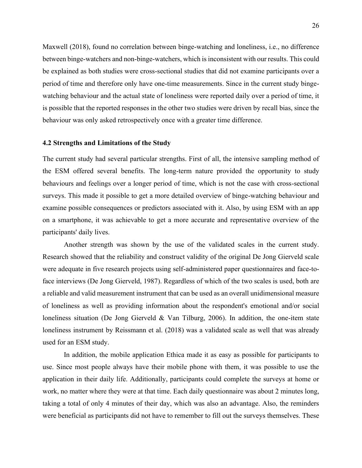Maxwell (2018), found no correlation between binge-watching and loneliness, i.e., no difference between binge-watchers and non-binge-watchers, which is inconsistent with our results. This could be explained as both studies were cross-sectional studies that did not examine participants over a period of time and therefore only have one-time measurements. Since in the current study bingewatching behaviour and the actual state of loneliness were reported daily over a period of time, it is possible that the reported responses in the other two studies were driven by recall bias, since the behaviour was only asked retrospectively once with a greater time difference.

#### <span id="page-26-0"></span>**4.2 Strengths and Limitations of the Study**

The current study had several particular strengths. First of all, the intensive sampling method of the ESM offered several benefits. The long-term nature provided the opportunity to study behaviours and feelings over a longer period of time, which is not the case with cross-sectional surveys. This made it possible to get a more detailed overview of binge-watching behaviour and examine possible consequences or predictors associated with it. Also, by using ESM with an app on a smartphone, it was achievable to get a more accurate and representative overview of the participants' daily lives.

Another strength was shown by the use of the validated scales in the current study. Research showed that the reliability and construct validity of the original De Jong Gierveld scale were adequate in five research projects using self-administered paper questionnaires and face-toface interviews (De Jong Gierveld, 1987). Regardless of which of the two scales is used, both are a reliable and valid measurement instrument that can be used as an overall unidimensional measure of loneliness as well as providing information about the respondent's emotional and/or social loneliness situation (De Jong Gierveld & Van Tilburg, 2006). In addition, the one-item state loneliness instrument by Reissmann et al. (2018) was a validated scale as well that was already used for an ESM study.

In addition, the mobile application Ethica made it as easy as possible for participants to use. Since most people always have their mobile phone with them, it was possible to use the application in their daily life. Additionally, participants could complete the surveys at home or work, no matter where they were at that time. Each daily questionnaire was about 2 minutes long, taking a total of only 4 minutes of their day, which was also an advantage. Also, the reminders were beneficial as participants did not have to remember to fill out the surveys themselves. These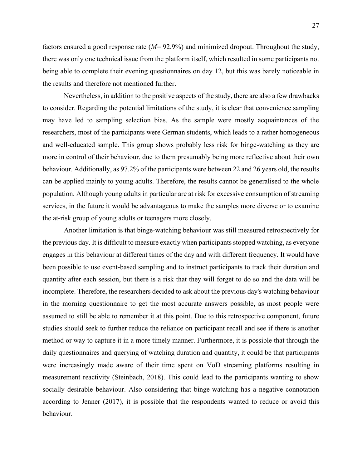factors ensured a good response rate (*M*= 92.9%) and minimized dropout. Throughout the study, there was only one technical issue from the platform itself, which resulted in some participants not being able to complete their evening questionnaires on day 12, but this was barely noticeable in the results and therefore not mentioned further.

Nevertheless, in addition to the positive aspects of the study, there are also a few drawbacks to consider. Regarding the potential limitations of the study, it is clear that convenience sampling may have led to sampling selection bias. As the sample were mostly acquaintances of the researchers, most of the participants were German students, which leads to a rather homogeneous and well-educated sample. This group shows probably less risk for binge-watching as they are more in control of their behaviour, due to them presumably being more reflective about their own behaviour. Additionally, as 97.2% of the participants were between 22 and 26 years old, the results can be applied mainly to young adults. Therefore, the results cannot be generalised to the whole population. Although young adults in particular are at risk for excessive consumption of streaming services, in the future it would be advantageous to make the samples more diverse or to examine the at-risk group of young adults or teenagers more closely.

Another limitation is that binge-watching behaviour was still measured retrospectively for the previous day. It is difficult to measure exactly when participants stopped watching, as everyone engages in this behaviour at different times of the day and with different frequency. It would have been possible to use event-based sampling and to instruct participants to track their duration and quantity after each session, but there is a risk that they will forget to do so and the data will be incomplete. Therefore, the researchers decided to ask about the previous day's watching behaviour in the morning questionnaire to get the most accurate answers possible, as most people were assumed to still be able to remember it at this point. Due to this retrospective component, future studies should seek to further reduce the reliance on participant recall and see if there is another method or way to capture it in a more timely manner. Furthermore, it is possible that through the daily questionnaires and querying of watching duration and quantity, it could be that participants were increasingly made aware of their time spent on VoD streaming platforms resulting in measurement reactivity (Steinbach, 2018). This could lead to the participants wanting to show socially desirable behaviour. Also considering that binge-watching has a negative connotation according to Jenner (2017), it is possible that the respondents wanted to reduce or avoid this behaviour.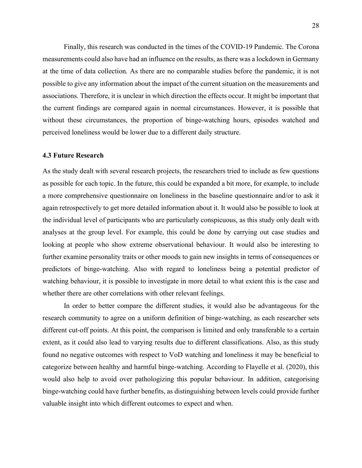Finally, this research was conducted in the times of the COVID-19 Pandemic. The Corona measurements could also have had an influence on the results, as there was a lockdown in Germany at the time of data collection. As there are no comparable studies before the pandemic, it is not possible to give any information about the impact of the current situation on the measurements and associations. Therefore, it is unclear in which direction the effects occur. It might be important that the current findings are compared again in normal circumstances. However, it is possible that without these circumstances, the proportion of binge-watching hours, episodes watched and perceived loneliness would be lower due to a different daily structure.

### <span id="page-28-0"></span>**4.3 Future Research**

As the study dealt with several research projects, the researchers tried to include as few questions as possible for each topic. In the future, this could be expanded a bit more, for example, to include a more comprehensive questionnaire on loneliness in the baseline questionnaire and/or to ask it again retrospectively to get more detailed information about it. It would also be possible to look at the individual level of participants who are particularly conspicuous, as this study only dealt with analyses at the group level. For example, this could be done by carrying out case studies and looking at people who show extreme observational behaviour. It would also be interesting to further examine personality traits or other moods to gain new insights in terms of consequences or predictors of binge-watching. Also with regard to loneliness being a potential predictor of watching behaviour, it is possible to investigate in more detail to what extent this is the case and whether there are other correlations with other relevant feelings.

In order to better compare the different studies, it would also be advantageous for the research community to agree on a uniform definition of binge-watching, as each researcher sets different cut-off points. At this point, the comparison is limited and only transferable to a certain extent, as it could also lead to varying results due to different classifications. Also, as this study found no negative outcomes with respect to VoD watching and loneliness it may be beneficial to categorize between healthy and harmful binge-watching. According to Flayelle et al. (2020), this would also help to avoid over pathologizing this popular behaviour. In addition, categorising binge-watching could have further benefits, as distinguishing between levels could provide further valuable insight into which different outcomes to expect and when.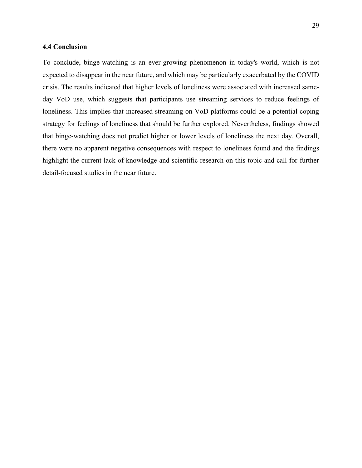#### <span id="page-29-0"></span>**4.4 Conclusion**

To conclude, binge-watching is an ever-growing phenomenon in today's world, which is not expected to disappear in the near future, and which may be particularly exacerbated by the COVID crisis. The results indicated that higher levels of loneliness were associated with increased sameday VoD use, which suggests that participants use streaming services to reduce feelings of loneliness. This implies that increased streaming on VoD platforms could be a potential coping strategy for feelings of loneliness that should be further explored. Nevertheless, findings showed that binge-watching does not predict higher or lower levels of loneliness the next day. Overall, there were no apparent negative consequences with respect to loneliness found and the findings highlight the current lack of knowledge and scientific research on this topic and call for further detail-focused studies in the near future.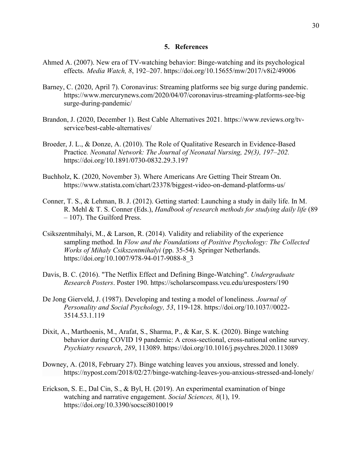#### **5. References**

- <span id="page-30-0"></span>Ahmed A. (2007). New era of TV-watching behavior: Binge-watching and its psychological effects. *Media Watch, 8*, 192–207. https://doi.org/10.15655/mw/2017/v8i2/49006
- Barney, C. (2020, April 7). Coronavirus: Streaming platforms see big surge during pandemic. https://www.mercurynews.com/2020/04/07/coronavirus-streaming-platforms-see-big surge-during-pandemic/
- Brandon, J. (2020, December 1). Best Cable Alternatives 2021. https://www.reviews.org/tvservice/best-cable-alternatives/
- Broeder, J. L., & Donze, A. (2010). The Role of Qualitative Research in Evidence-Based Practice*. Neonatal Network: The Journal of Neonatal Nursing, 29(3), 197–202.* https://doi.org/10.1891/0730-0832.29.3.197
- Buchholz, K. (2020, November 3). Where Americans Are Getting Their Stream On. https://www.statista.com/chart/23378/biggest-video-on-demand-platforms-us/
- Conner, T. S., & Lehman, B. J. (2012). Getting started: Launching a study in daily life. In M. R. Mehl & T. S. Conner (Eds.), *Handbook of research methods for studying daily life* (89 – 107). The Guilford Press.
- Csikszentmihalyi, M., & Larson, R. (2014). Validity and reliability of the experience sampling method. In *Flow and the Foundations of Positive Psychology: The Collected Works of Mihaly Csikszentmihalyi* (pp. 35-54). Springer Netherlands. https://doi.org/10.1007/978-94-017-9088-8\_3
- Davis, B. C. (2016). "The Netflix Effect and Defining Binge-Watching". *Undergraduate Research Posters*. Poster 190. https://scholarscompass.vcu.edu/uresposters/190
- De Jong Gierveld, J. (1987). Developing and testing a model of loneliness. *Journal of Personality and Social Psychology, 53*, 119-128. https://doi.org/10.1037//0022- 3514.53.1.119
- Dixit, A., Marthoenis, M., Arafat, S., Sharma, P., & Kar, S. K. (2020). Binge watching behavior during COVID 19 pandemic: A cross-sectional, cross-national online survey. *Psychiatry research*, *289*, 113089. https://doi.org/10.1016/j.psychres.2020.113089
- Downey, A. (2018, February 27). Binge watching leaves you anxious, stressed and lonely. https://nypost.com/2018/02/27/binge-watching-leaves-you-anxious-stressed-and-lonely/
- Erickson, S. E., Dal Cin, S., & Byl, H. (2019). An experimental examination of binge watching and narrative engagement. *Social Sciences, 8*(1), 19. https://doi.org/10.3390/socsci8010019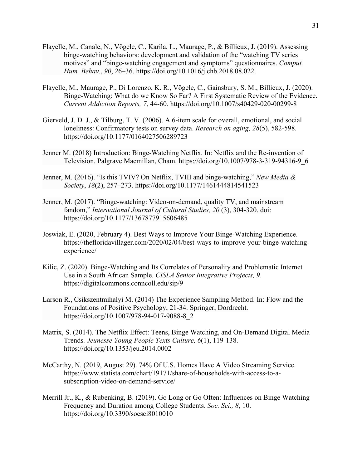- Flayelle, M., Canale, N., Vögele, C., Karila, L., Maurage, P., & Billieux, J. (2019). Assessing binge-watching behaviors: development and validation of the "watching TV series motives" and "binge-watching engagement and symptoms" questionnaires. *Comput. Hum. Behav.*, *90*, 26–36. https://doi.org/10.1016/j.chb.2018.08.022.
- Flayelle, M., Maurage, P., Di Lorenzo, K. R., Vögele, C., Gainsbury, S. M., Billieux, J. (2020). Binge-Watching: What do we Know So Far? A First Systematic Review of the Evidence. *Current Addiction Reports, 7*, 44-60. https://doi.org/10.1007/s40429-020-00299-8
- Gierveld, J. D. J., & Tilburg, T. V. (2006). A 6-item scale for overall, emotional, and social loneliness: Confirmatory tests on survey data. *Research on aging, 28*(5), 582-598. [https://doi.org/1](https://doi.org/)0.1177/0164027506289723
- Jenner M. (2018) Introduction: Binge-Watching Netflix. In: Netflix and the Re-invention of Television. Palgrave Macmillan, Cham. https://doi.org/10.1007/978-3-319-94316-9\_6
- Jenner, M. (2016). "Is this TVIV? On Netflix, TVIII and binge-watching," *New Media & Society*, *18*(2), 257–273. https://doi.org/10.1177/1461444814541523
- Jenner, M. (2017). "Binge-watching: Video-on-demand, quality TV, and mainstream fandom," *International Journal of Cultural Studies, 20* (3), 304-320. doi: https://doi.org/10.1177/1367877915606485
- Joswiak, E. (2020, February 4). Best Ways to Improve Your Binge-Watching Experience. https://thefloridavillager.com/2020/02/04/best-ways-to-improve-your-binge-watchingexperience/
- Kilic, Z. (2020). Binge-Watching and Its Correlates of Personality and Problematic Internet Use in a South African Sample. *CISLA Senior Integrative Projects, 9*. https://digitalcommons.conncoll.edu/sip/9
- Larson R., Csikszentmihalyi M. (2014) The Experience Sampling Method. In: Flow and the Foundations of Positive Psychology, 21-34. Springer, Dordrecht. https://doi.org/10.1007/978-94-017-9088-8\_2
- Matrix, S. (2014). The Netflix Effect: Teens, Binge Watching, and On-Demand Digital Media Trends*. Jeunesse Young People Texts Culture, 6*(1), 119-138. [https://doi.org/1](https://doi.org/)0.1353/jeu.2014.0002
- McCarthy, N. (2019, August 29). 74% Of U.S. Homes Have A Video Streaming Service. https://www.statista.com/chart/19171/share-of-households-with-access-to-asubscription-video-on-demand-service/
- Merrill Jr., K., & Rubenking, B. (2019). Go Long or Go Often: Influences on Binge Watching Frequency and Duration among College Students. *Soc. Sci., 8*, 10. https://doi.org/10.3390/socsci8010010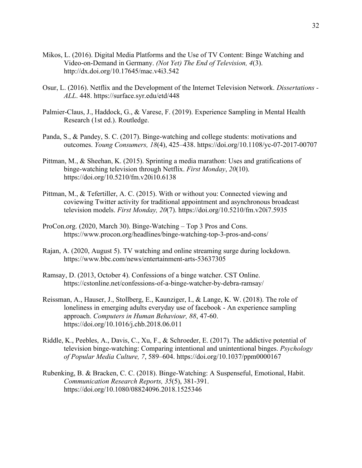- Mikos, L. (2016). Digital Media Platforms and the Use of TV Content: Binge Watching and Video-on-Demand in Germany. *(Not Yet) The End of Television, 4*(3). http://dx.doi.org/10.17645/mac.v4i3.542
- Osur, L. (2016). Netflix and the Development of the Internet Television Network. *Dissertations - ALL*. 448. https://surface.syr.edu/etd/448
- Palmier-Claus, J., Haddock, G., & Varese, F. (2019). Experience Sampling in Mental Health Research (1st ed.). Routledge.
- Panda, S., & Pandey, S. C. (2017). Binge-watching and college students: motivations and outcomes. *Young Consumers, 18*(4), 425–438. [https://doi.org/1](https://doi.org/10.1007/s40429-020%0900299-8)0.1108/yc-07-2017-00707
- Pittman, M., & Sheehan, K. (2015). Sprinting a media marathon: Uses and gratifications of binge-watching television through Netflix. *First Monday*, *20*(10). https://doi.org/10.5210/fm.v20i10.6138
- Pittman, M., & Tefertiller, A. C. (2015). With or without you: Connected viewing and coviewing Twitter activity for traditional appointment and asynchronous broadcast television models. *First Monday, 20*(7). https://doi.org[/10.5210/fm.v20i7.5935](http://dx.doi.org/10.5210/fm.v20i7.5935)
- ProCon.org. (2020, March 30). Binge-Watching Top 3 Pros and Cons. https://www.procon.org/headlines/binge-watching-top-3-pros-and-cons/
- Rajan, A. (2020, August 5). TV watching and online streaming surge during lockdown. https://www.bbc.com/news/entertainment-arts-53637305
- Ramsay, D. (2013, October 4). Confessions of a binge watcher. CST Online. https://cstonline.net/confessions-of-a-binge-watcher-by-debra-ramsay/
- Reissman, A., Hauser, J., Stollberg, E., Kaunziger, I., & Lange, K. W. (2018). The role of loneliness in emerging adults everyday use of facebook - An experience sampling approach. *Computers in Human Behaviour, 88*, 47-60. https://doi.org/10.1016/j.chb.2018.06.011
- Riddle, K., Peebles, A., Davis, C., Xu, F., & Schroeder, E. (2017). The addictive potential of television binge-watching: Comparing intentional and unintentional binges. *Psychology of Popular Media Culture, 7*, 589–604. https://doi.org/10.1037/ppm0000167
- Rubenking, B. & Bracken, C. C. (2018). Binge-Watching: A Suspenseful, Emotional, Habit. *Communication Research Reports, 35*(5), 381-391. [https://doi.org/1](https://doi.org/)0.1080/08824096.2018.1525346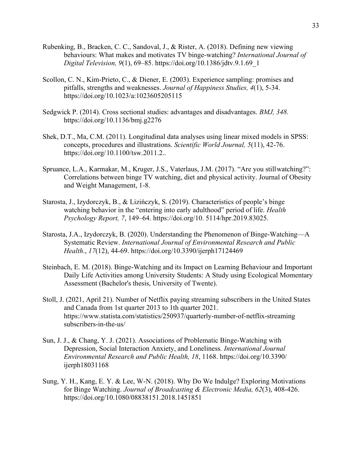- Rubenking, B., Bracken, C. C., Sandoval, J., & Rister, A. (2018). Defining new viewing behaviours: What makes and motivates TV binge-watching? *International Journal of Digital Television, 9*(1), 69–85. https://doi.org/10.1386/jdtv.9.1.69\_1
- Scollon, C. N., Kim-Prieto, C., & Diener, E. (2003). Experience sampling: promises and pitfalls, strengths and weaknesses. *Journal of Happiness Studies, 4*(1), 5-34. [https://doi.org/1](https://doi.org/10.1007/s40429-020%0900299-8)0.1023/a:1023605205115
- Sedgwick P. (2014). Cross sectional studies: advantages and disadvantages. *BMJ, 348.* [https://doi.org/1](https://doi.org/10.1007/s40429-020%0900299-8)0.1136/bmj.g2276
- Shek, D.T., Ma, C.M. (2011). Longitudinal data analyses using linear mixed models in SPSS: concepts, procedures and illustrations. *Scientific World Journal, 5*(11), 42-76. [https://doi.org/1](https://doi.org/)0.1100/tsw.2011.2..
- Spruance, L.A., Karmakar, M., Kruger, J.S., Vaterlaus, J.M. (2017). "Are you stillwatching?": Correlations between binge TV watching, diet and physical activity. Journal of Obesity and Weight Management, 1-8.
- Starosta, J., Izydorczyk, B., & Lizińczyk, S. (2019). Characteristics of people's binge watching behavior in the "entering into early adulthood" period of life. *Health Psychology Report, 7*, 149–64. https://doi.org/10. 5114/hpr.2019.83025.
- Starosta, J.A., Izydorczyk, B. (2020). Understanding the Phenomenon of Binge-Watching—A Systematic Review. *International Journal of Environmental Research and Public Health*., *17*(12), 44-69. https://doi.org/10.3390/ijerph17124469
- Steinbach, E. M. (2018). Binge-Watching and its Impact on Learning Behaviour and Important Daily Life Activities among University Students: A Study using Ecological Momentary Assessment (Bachelor's thesis, University of Twente).
- Stoll, J. (2021, April 21). Number of Netflix paying streaming subscribers in the United States and Canada from 1st quarter 2013 to 1th quarter 2021. https://www.statista.com/statistics/250937/quarterly-number-of-netflix-streaming subscribers-in-the-us/
- Sun, J. J., & Chang, Y. J. (2021). Associations of Problematic Binge-Watching with Depression, Social Interaction Anxiety, and Loneliness*. International Journal Environmental Research and Public Health, 18*, 1168. https://doi.org/10.3390/ ijerph18031168
- Sung, Y. H., Kang, E. Y. & Lee, W-N. (2018). Why Do We Indulge? Exploring Motivations for Binge Watching. *Journal of Broadcasting & Electronic Media, 62*(3), 408-426. [https://doi.org/1](https://doi.org/)0.1080/08838151.2018.1451851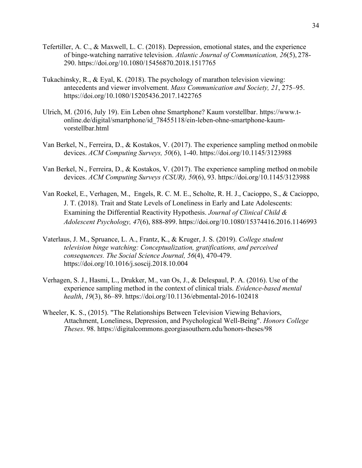- Tefertiller, A. C., & Maxwell, L. C. (2018). Depression, emotional states, and the experience of binge-watching narrative television. *Atlantic Journal of Communication, 26*(5), 278- 290. https://doi.org/10.1080/15456870.2018.1517765
- Tukachinsky, R., & Eyal, K. (2018). The psychology of marathon television viewing: antecedents and viewer involvement. *Mass Communication and Society, 21*, 275–95. https://doi.org/10.1080/15205436.2017.1422765
- Ulrich, M. (2016, July 19). Ein Leben ohne Smartphone? Kaum vorstellbar. https://www.tonline.de/digital/smartphone/id\_78455118/ein-leben-ohne-smartphone-kaumvorstellbar.html
- Van Berkel, N., Ferreira, D., & Kostakos, V. (2017). The experience sampling method onmobile devices. *ACM Computing Surveys, 50*(6), 1-40. https://doi.org/10.1145/3123988
- Van Berkel, N., Ferreira, D., & Kostakos, V. (2017). The experience sampling method onmobile devices. *ACM Computing Surveys (CSUR), 50*(6), 93. https://doi.org[/10.1145/3123988](http://dx.doi.org/10.1145/3123988)
- Van Roekel, E., Verhagen, M., Engels, R. C. M. E., Scholte, R. H. J., Cacioppo, S., & Cacioppo, J. T. (2018). Trait and State Levels of Loneliness in Early and Late Adolescents: Examining the Differential Reactivity Hypothesis. *Journal of Clinical Child & Adolescent Psychology, 47*(6), 888-899. [https://doi.org/1](https://doi.org/10.1007/s40429-020%0900299-8)0.1080/15374416.2016.1146993
- Vaterlaus, J. M., Spruance, L. A., Frantz, K., & Kruger, J. S. (2019). *College student television binge watching: Conceptualization, gratifications, and perceived consequences. The Social Science Journal, 56*(4), 470-479. [https://doi.org/1](https://doi.org/)0.1016/j.soscij.2018.10.004
- Verhagen, S. J., Hasmi, L., Drukker, M., van Os, J., & Delespaul, P. A. (2016). Use of the experience sampling method in the context of clinical trials. *Evidence-based mental health*, *19*(3), 86–89. https://doi.org/10.1136/ebmental-2016-102418
- Wheeler, K. S., (2015). "The Relationships Between Television Viewing Behaviors, Attachment, Loneliness, Depression, and Psychological Well-Being". *Honors College Theses*. 98. https://digitalcommons.georgiasouthern.edu/honors-theses/98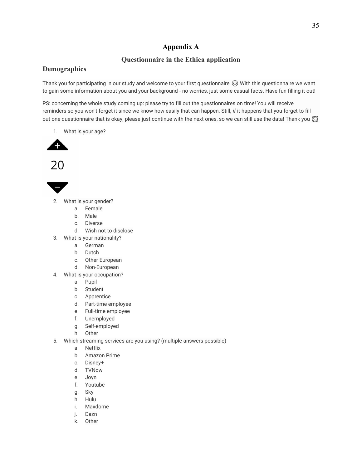### **Appendix A**

### **Questionnaire in the Ethica application**

### <span id="page-35-0"></span>**Demographics**

Thank you for participating in our study and welcome to your first questionnaire © With this questionnaire we want to gain some information about you and your background - no worries, just some casual facts. Have fun filling it out!

PS: concerning the whole study coming up: please try to fill out the questionnaires on time! You will receive reminders so you won't forget it since we know how easily that can happen. Still, *if* it happens that you forget to fill out one questionnaire that is okay, please just continue with the next ones, so we can still use the data! Thank you  $\bigotimes$ 

1. What is your age?







- 2. What is your gender?
	- a. Female
	- b. Male
	- c. Diverse
	- d. Wish not to disclose
- 3. What is your nationality?
	- a. German
	- b. Dutch
	- c. Other European
	- d. Non-European
- 4. What is your occupation?
	- a. Pupil
	- b. Student
	- c. Apprentice
	- d. Part-time employee
	- e. Full-time employee
	- f. Unemployed
	- g. Self-employed
	- h. Other
- 5. Which streaming services are you using? (multiple answers possible)
	- a. Netflix
	- b. Amazon Prime
	- c. Disney+
	- d. TVNow
	- e. Joyn
	- f. Youtube
	- g. Sky
	- h. Hulu
	- i. Maxdome
	- j. Dazn
	- k. Other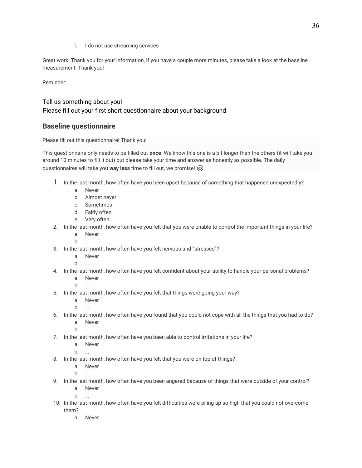l. I do not use streaming services

Great work! Thank you for your information, if you have a couple more minutes, please take a look at the baseline measurement. Thank you!

Reminder:

# Tell us something about you! Please fill out your first short questionnaire about your background

# **Baseline questionnaire**

Please fill out this questionnaire! Thank you!

This questionnaire only needs to be filled out **once**. We know this one is a bit longer than the others (it will take you around 10 minutes to fill it out) but please take your time and answer as honestly as possible. The daily questionnaires will take you **way less** time to fill out, we promise!

- 1. In the last month, how often have you been upset because of something that happened unexpectedly?
	- a. Never
	- b. Almost never
	- c. Sometimes
	- d. Fairly often
	- e. Very often
- 2. In the last month, how often have you felt that you were unable to control the important things in your life?
	- a. Never
	- b. ...
- 3. In the last month, how often have you felt nervous and "stressed"?
	- a. Never
	- b. ...
- 4. In the last month, how often have you felt confident about your ability to handle your personal problems?
	- a. Never
	- b. ...
- 5. In the last month, how often have you felt that things were going your way?
	- a. Never
	- b. ...
- 6. In the last month, how often have you found that you could not cope with all the things that you had to do?
	- a. Never
	- b. ...
- 7. In the last month, how often have you been able to control irritations in your life?
	- a. Never

b. ...

- 8. In the last month, how often have you felt that you were on top of things?
	- a. Never
	- $b<sub>1</sub>$
- 9. In the last month, how often have you been angered because of things that were outside of your control? a. Never
	- b. ...
- 10. In the last month, how often have you felt difficulties were piling up so high that you could not overcome them?
	- a. Never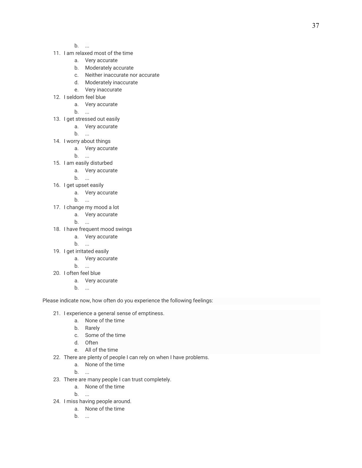- b. ...
- 11. I am relaxed most of the time
	- a. Very accurate
	- b. Moderately accurate
	- c. Neither inaccurate nor accurate
	- d. Moderately inaccurate
	- e. Very inaccurate
- 12. I seldom feel blue
	- a. Very accurate
	- b. ...
- 13. I get stressed out easily
	- a. Very accurate
	- b. ...
- 14. I worry about things
	- a. Very accurate
		- b. ...
- 15. I am easily disturbed
	- a. Very accurate
		- b. ...
- 16. I get upset easily
	- a. Very accurate
	- b. ...
- 17. I change my mood a lot
	- a. Very accurate
	- b. ...
- 18. I have frequent mood swings
	- a. Very accurate
	- b. ...
- 19. I get irritated easily
	- a. Very accurate
	- b. ...
- 20. I often feel blue
	- a. Very accurate
	- b. ...

Please indicate now, how often do you experience the following feelings:

- 21. I experience a general sense of emptiness.
	- a. None of the time
	- b. Rarely
	- c. Some of the time
	- d. Often
	- e. All of the time
- 22. There are plenty of people I can rely on when I have problems.
	- a. None of the time

b. ...

- 23. There are many people I can trust completely.
	- a. None of the time
	- b. ...
- 24. I miss having people around.
	- a. None of the time
	- b. ...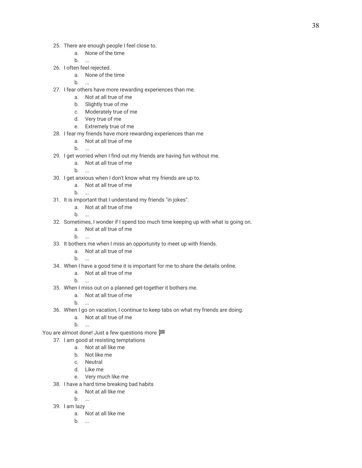- 25. There are enough people I feel close to.
	- a. None of the time
	- b. ...
- 26. I often feel rejected.
	- a. None of the time
	- b. ...
- 27. I fear others have more rewarding experiences than me.
	- a. Not at all true of me
	- b. Slightly true of me
	- c. Moderately true of me
	- d. Very true of me
	- e. Extremely true of me
- 28. I fear my friends have more rewarding experiences than me
	- a. Not at all true of me
	- b. ...
- 29. I get worried when I find out my friends are having fun without me.
	- a. Not at all true of me
	- b. ...
- 30. I get anxious when I don't know what my friends are up to.
	- a. Not at all true of me
	- b. ...
- 31. It is important that I understand my friends "in jokes".
	- a. Not at all true of me
	- b. ...
- 32. Sometimes, I wonder if I spend too much time keeping up with what is going on.
	- a. Not at all true of me
	- b. ...
- 33. It bothers me when I miss an opportunity to meet up with friends.
	- a. Not at all true of me
	- b. ...
- 34. When I have a good time it is important for me to share the details online.
	- a. Not at all true of me
	- b. ...
- 35. When I miss out on a planned get-together it bothers me.
	- a. Not at all true of me
	- b. ...
- 36. When I go on vacation, I continue to keep tabs on what my friends are doing.
	- a. Not at all true of me
	- b. ...
- You are almost done! Just a few questions more
	- 37. I am good at resisting temptations
		- a. Not at all like me
			- b. Not like me
			- c. Neutral
			- d. Like me
			- e. Very much like me
	- 38. I have a hard time breaking bad habits
		- a. Not at all like me
		- b. ...
	- 39. I am lazy
		- a. Not at all like me
		- b. ...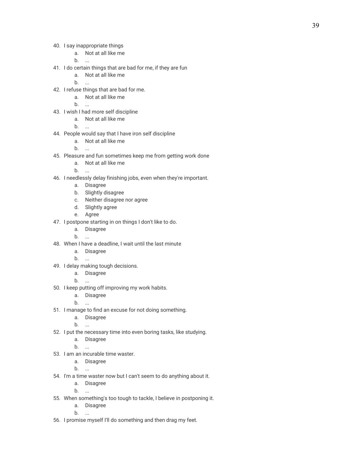- 40. I say inappropriate things
	- a. Not at all like me

b. ...

- 41. I do certain things that are bad for me, if they are fun
	- a. Not at all like me
	- b. ...
- 42. I refuse things that are bad for me.
	- a. Not at all like me
	- b. ...
- 43. I wish I had more self discipline
	- a. Not at all like me

b. ...

- 44. People would say that I have iron self discipline
	- a. Not at all like me
	- b. ...
- 45. Pleasure and fun sometimes keep me from getting work done
	- a. Not at all like me
	- b. ...
- 46. I needlessly delay finishing jobs, even when they're important.
	- a. Disagree
	- b. Slightly disagree
	- c. Neither disagree nor agree
	- d. Slightly agree
	- e. Agree
- 47. I postpone starting in on things I don't like to do.
	- a. Disagree
	- b. ...
- 48. When I have a deadline, I wait until the last minute
	- a. Disagree
	- b. ...
- 49. I delay making tough decisions.
	- a. Disagree
	- b. ...
- 50. I keep putting off improving my work habits.
	- a. Disagree
	- b. ...
- 51. I manage to find an excuse for not doing something.
	- a. Disagree
	- b. ...
- 52. I put the necessary time into even boring tasks, like studying.
	- a. Disagree
	- b. ...
- 53. I am an incurable time waster.
	- a. Disagree
	- b. ...
- 54. I'm a time waster now but I can't seem to do anything about it.
	- a. Disagree

b. ...

- 55. When something's too tough to tackle, I believe in postponing it.
	- a. Disagree
	- b. ...
- 56. I promise myself I'll do something and then drag my feet.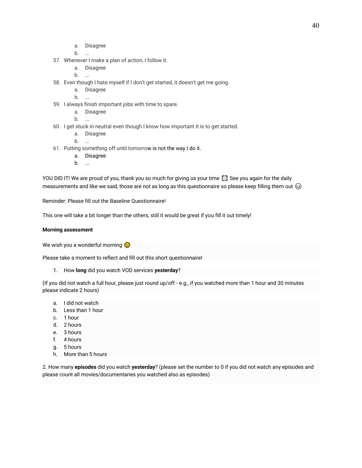- a. Disagree
- b. ...
- 57. Whenever I make a plan of action, I follow it.
	- a. Disagree
	- b. ...
- 58. Even though I hate myself if I don't get started, it doesn't get me going.
	- a. Disagree
	- b. ...
- 59. I always finish important jobs with time to spare.
	- a. Disagree
	- b. ...
- 60. I get stuck in neutral even though I know how important it is to get started.
	- a. Disagree
	- b. ...
- 61. Putting something off until tomorrow is not the way I do it.
	- a. Disagree
	- b. ...

YOU DID IT! We are proud of you, thank you so much for giving us your time  $\boxtimes$  See you again for the daily measurements and like we said, those are not as long as this questionnaire so please keep filling them out  $\odot$ 

Reminder: Please fill out the Baseline Questionnaire!

This one will take a bit longer than the others, still it would be great if you fill it out timely!

#### **Morning assessment**

We wish you a wonderful morning

Please take a moment to reflect and fill out this short questionnaire!

1. How **long** did you watch VOD services **yesterday**?

(If you did not watch a full hour, please just round up/off - e.g., if you watched more than 1 hour and 30 minutes please indicate 2 hours)

- a. I did not watch
- b. Less than 1 hour
- c. 1 hour
- d. 2 hours
- e. 3 hours
- f. 4 hours
- g. 5 hours
- h. More than 5 hours

2. How many **episodes** did you watch **yesterday**? (please set the number to 0 if you did not watch any episodes and please count all movies/documentaries you watched also as episodes)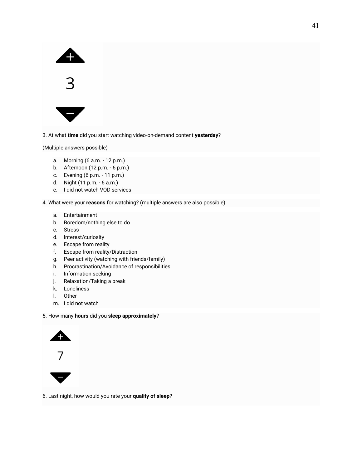



3. At what **time** did you start watching video-on-demand content **yesterday**?

(Multiple answers possible)

- a. Morning (6 a.m. 12 p.m.)
- b. Afternoon (12 p.m. 6 p.m.)
- c. Evening (6 p.m. 11 p.m.)
- d. Night (11 p.m. 6 a.m.)
- e. I did not watch VOD services

4. What were your **reasons** for watching? (multiple answers are also possible)

- a. Entertainment
- b. Boredom/nothing else to do
- c. Stress
- d. Interest/curiosity
- e. Escape from reality
- f. Escape from reality/Distraction
- g. Peer activity (watching with friends/family)
- h. Procrastination/Avoidance of responsibilities
- i. Information seeking
- j. Relaxation/Taking a break
- k. Loneliness
- l. Other
- m. I did not watch

#### 5. How many **hours** did you **sleep approximately**?





6. Last night, how would you rate your **quality of sleep**?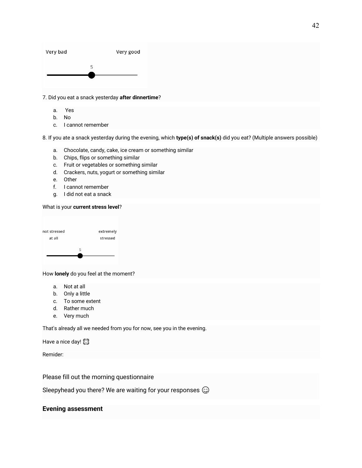

7. Did you eat a snack yesterday **after dinnertime**?

- a. Yes
- b. No
- c. I cannot remember

8. If you ate a snack yesterday during the evening, which **type(s) of snack(s)** did you eat? (Multiple answers possible)

- a. Chocolate, candy, cake, ice cream or something similar
- b. Chips, flips or something similar
- c. Fruit or vegetables or something similar
- d. Crackers, nuts, yogurt or something similar
- e. Other
- f. I cannot remember
- g. I did not eat a snack

#### What is your **current stress level**?



How **lonely** do you feel at the moment?

- a. Not at all
- b. Only a little
- c. To some extent
- d. Rather much
- e. Very much

That's already all we needed from you for now, see you in the evening.

Have a nice day!

Remider:

Please fill out the morning questionnaire

Sleepyhead you there? We are waiting for your responses  $\mathbb{Q}$ 

#### **Evening assessment**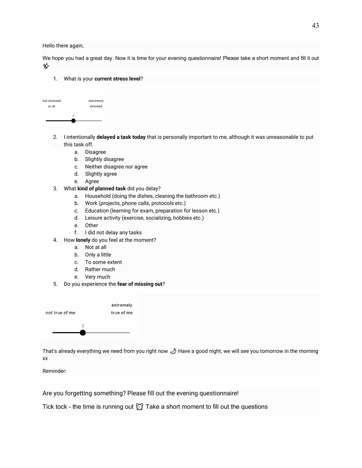Hello there again,

We hope you had a great day. Now it is time for your evening questionnaire! Please take a short moment and fill it out ✨

1. What is your **current stress level**?

| not stressed | extremely |
|--------------|-----------|
| at all       | stressed  |
|              |           |
| 5            |           |
|              |           |
|              |           |

- 2. I intentionally **delayed a task today** that is personally important to me, although it was unreasonable to put this task off.
	- a. Disagree
	- b. Slightly disagree
	- c. Neither disagree nor agree
	- d. Slightly agree
	- e. Agree
- 3. What **kind of planned task** did you delay?
	- a. Household (doing the dishes, cleaning the bathroom etc.)
	- b. Work (projects, phone calls, protocols etc.)
	- c. Education (learning for exam, preparation for lesson etc.)
	- d. Leisure activity (exercise, socializing, hobbies etc.)
	- e. Other
	- f. I did not delay any tasks
- 4. How **lonely** do you feel at the moment?
	- a. Not at all
	- b. Only a little
	- c. To some extent
	- d. Rather much
	- e. Very much
- 5. Do you experience the **fear of missing out**?



That's already everything we need from you right now Have a good night, we will see you tomorrow in the morning xx

Reminder:

Are you forgetting something? Please fill out the evening questionnaire!

Tick tock - the time is running out  $\oslash$  Take a short moment to fill out the questions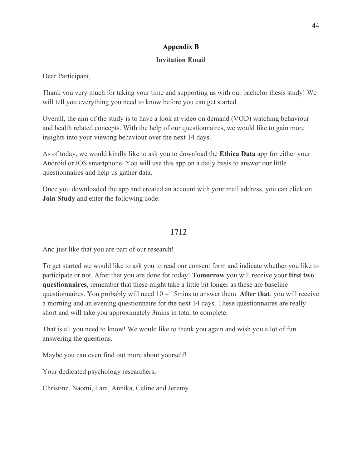# **Appendix B**

# **Invitation Email**

<span id="page-44-0"></span>Dear Participant,

Thank you very much for taking your time and supporting us with our bachelor thesis study! We will tell you everything you need to know before you can get started.

Overall, the aim of the study is to have a look at video on demand (VOD) watching behaviour and health related concepts. With the help of our questionnaires, we would like to gain more insights into your viewing behaviour over the next 14 days.

As of today, we would kindly like to ask you to download the **Ethica Data** app for either your Android or IOS smartphone. You will use this app on a daily basis to answer our little questionnaires and help us gather data.

Once you downloaded the app and created an account with your mail address, you can click on **Join Study** and enter the following code:

# **1712**

And just like that you are part of our research!

To get started we would like to ask you to read our consent form and indicate whether you like to participate or not. After that you are done for today! **Tomorrow** you will receive your **first two questionnaires**, remember that these might take a little bit longer as these are baseline questionnaires. You probably will need 10 – 15mins to answer them. **After that**, you will receive a morning and an evening questionnaire for the next 14 days. These questionnaires are really short and will take you approximately 3mins in total to complete.

That is all you need to know! We would like to thank you again and wish you a lot of fun answering the questions.

Maybe you can even find out more about yourself!

Your dedicated psychology researchers,

Christine, Naomi, Lara, Annika, Celine and Jeremy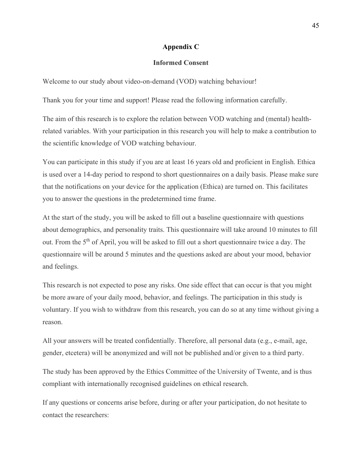### **Appendix C**

#### **Informed Consent**

<span id="page-45-0"></span>Welcome to our study about video-on-demand (VOD) watching behaviour!

Thank you for your time and support! Please read the following information carefully.

The aim of this research is to explore the relation between VOD watching and (mental) healthrelated variables. With your participation in this research you will help to make a contribution to the scientific knowledge of VOD watching behaviour.

You can participate in this study if you are at least 16 years old and proficient in English. Ethica is used over a 14-day period to respond to short questionnaires on a daily basis. Please make sure that the notifications on your device for the application (Ethica) are turned on. This facilitates you to answer the questions in the predetermined time frame.

At the start of the study, you will be asked to fill out a baseline questionnaire with questions about demographics, and personality traits. This questionnaire will take around 10 minutes to fill out. From the 5<sup>th</sup> of April, you will be asked to fill out a short questionnaire twice a day. The questionnaire will be around 5 minutes and the questions asked are about your mood, behavior and feelings.

This research is not expected to pose any risks. One side effect that can occur is that you might be more aware of your daily mood, behavior, and feelings. The participation in this study is voluntary. If you wish to withdraw from this research, you can do so at any time without giving a reason.

All your answers will be treated confidentially. Therefore, all personal data (e.g., e-mail, age, gender, etcetera) will be anonymized and will not be published and/or given to a third party.

The study has been approved by the Ethics Committee of the University of Twente, and is thus compliant with internationally recognised guidelines on ethical research.

If any questions or concerns arise before, during or after your participation, do not hesitate to contact the researchers: